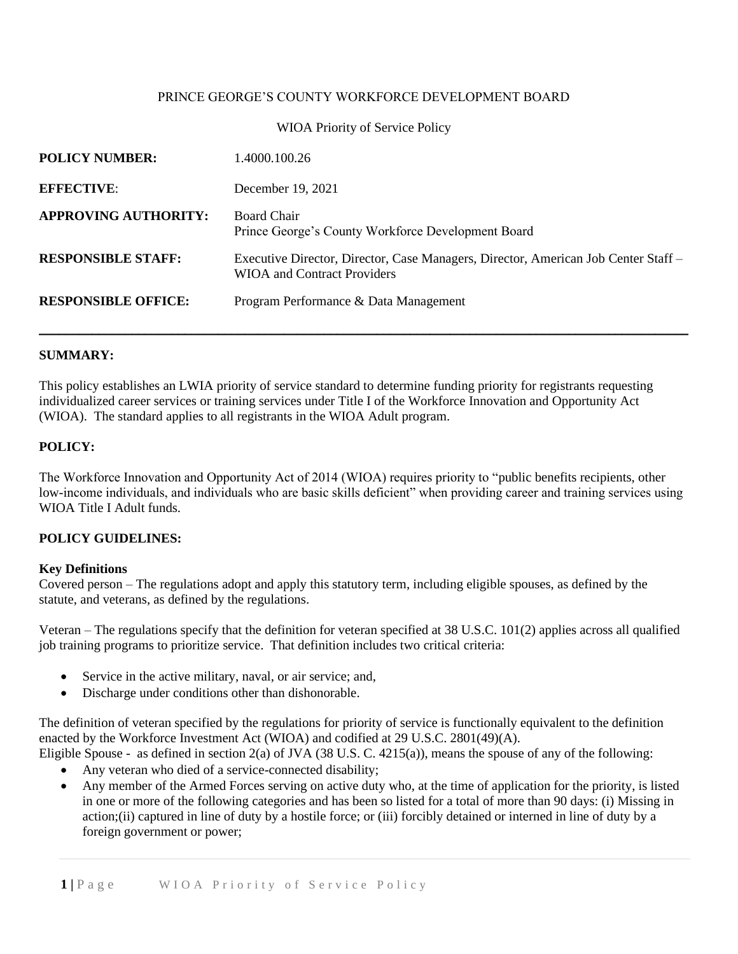## PRINCE GEORGE'S COUNTY WORKFORCE DEVELOPMENT BOARD

### WIOA Priority of Service Policy

| <b>POLICY NUMBER:</b>       | 1.4000.100.26                                                                                                            |
|-----------------------------|--------------------------------------------------------------------------------------------------------------------------|
| <b>EFFECTIVE:</b>           | December 19, 2021                                                                                                        |
| <b>APPROVING AUTHORITY:</b> | Board Chair<br>Prince George's County Workforce Development Board                                                        |
| <b>RESPONSIBLE STAFF:</b>   | Executive Director, Director, Case Managers, Director, American Job Center Staff –<br><b>WIOA</b> and Contract Providers |
| <b>RESPONSIBLE OFFICE:</b>  | Program Performance & Data Management                                                                                    |

### **SUMMARY:**

This policy establishes an LWIA priority of service standard to determine funding priority for registrants requesting individualized career services or training services under Title I of the Workforce Innovation and Opportunity Act (WIOA). The standard applies to all registrants in the WIOA Adult program.

# **POLICY:**

The Workforce Innovation and Opportunity Act of 2014 (WIOA) requires priority to "public benefits recipients, other low-income individuals, and individuals who are basic skills deficient" when providing career and training services using WIOA Title I Adult funds.

#### **POLICY GUIDELINES:**

## **Key Definitions**

Covered person – The regulations adopt and apply this statutory term, including eligible spouses, as defined by the statute, and veterans, as defined by the regulations.

Veteran – The regulations specify that the definition for veteran specified at 38 U.S.C. 101(2) applies across all qualified job training programs to prioritize service. That definition includes two critical criteria:

- Service in the active military, naval, or air service; and,
- Discharge under conditions other than dishonorable.

The definition of veteran specified by the regulations for priority of service is functionally equivalent to the definition enacted by the Workforce Investment Act (WIOA) and codified at 29 U.S.C. 2801(49)(A).

- Eligible Spouse as defined in section 2(a) of JVA (38 U.S. C. 4215(a)), means the spouse of any of the following:
	- Any veteran who died of a service-connected disability;
	- Any member of the Armed Forces serving on active duty who, at the time of application for the priority, is listed in one or more of the following categories and has been so listed for a total of more than 90 days: (i) Missing in action;(ii) captured in line of duty by a hostile force; or (iii) forcibly detained or interned in line of duty by a foreign government or power;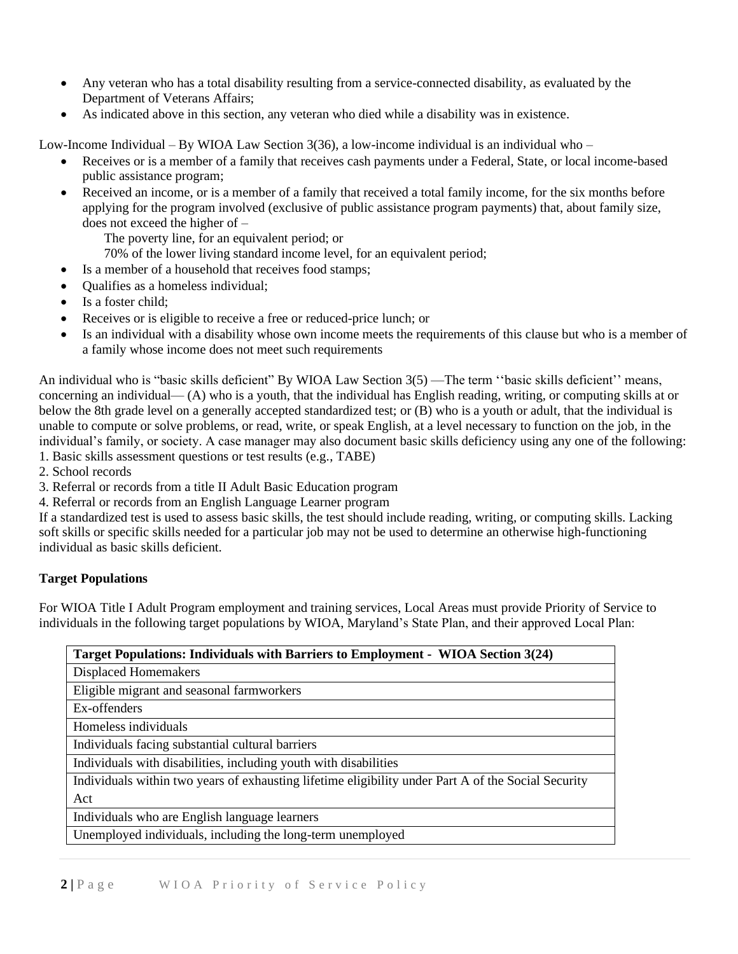- Any veteran who has a total disability resulting from a service-connected disability, as evaluated by the Department of Veterans Affairs;
- As indicated above in this section, any veteran who died while a disability was in existence.

Low-Income Individual – By WIOA Law Section  $3(36)$ , a low-income individual is an individual who –

- Receives or is a member of a family that receives cash payments under a Federal, State, or local income-based public assistance program;
- Received an income, or is a member of a family that received a total family income, for the six months before applying for the program involved (exclusive of public assistance program payments) that, about family size, does not exceed the higher of –

The poverty line, for an equivalent period; or

- 70% of the lower living standard income level, for an equivalent period;
- Is a member of a household that receives food stamps;
- Qualifies as a homeless individual;
- Is a foster child:
- Receives or is eligible to receive a free or reduced-price lunch; or
- Is an individual with a disability whose own income meets the requirements of this clause but who is a member of a family whose income does not meet such requirements

An individual who is "basic skills deficient" By WIOA Law Section 3(5) —The term ''basic skills deficient'' means, concerning an individual— (A) who is a youth, that the individual has English reading, writing, or computing skills at or below the 8th grade level on a generally accepted standardized test; or (B) who is a youth or adult, that the individual is unable to compute or solve problems, or read, write, or speak English, at a level necessary to function on the job, in the individual's family, or society. A case manager may also document basic skills deficiency using any one of the following: 1. Basic skills assessment questions or test results (e.g., TABE)

2. School records

3. Referral or records from a title II Adult Basic Education program

4. Referral or records from an English Language Learner program

If a standardized test is used to assess basic skills, the test should include reading, writing, or computing skills. Lacking soft skills or specific skills needed for a particular job may not be used to determine an otherwise high-functioning individual as basic skills deficient.

## **Target Populations**

For WIOA Title I Adult Program employment and training services, Local Areas must provide Priority of Service to individuals in the following target populations by WIOA, Maryland's State Plan, and their approved Local Plan:

| Target Populations: Individuals with Barriers to Employment - WIOA Section 3(24)                    |  |
|-----------------------------------------------------------------------------------------------------|--|
| Displaced Homemakers                                                                                |  |
| Eligible migrant and seasonal farmworkers                                                           |  |
| Ex-offenders                                                                                        |  |
| Homeless individuals                                                                                |  |
| Individuals facing substantial cultural barriers                                                    |  |
| Individuals with disabilities, including youth with disabilities                                    |  |
| Individuals within two years of exhausting lifetime eligibility under Part A of the Social Security |  |
| Act                                                                                                 |  |
| Individuals who are English language learners                                                       |  |
| Unemployed individuals, including the long-term unemployed                                          |  |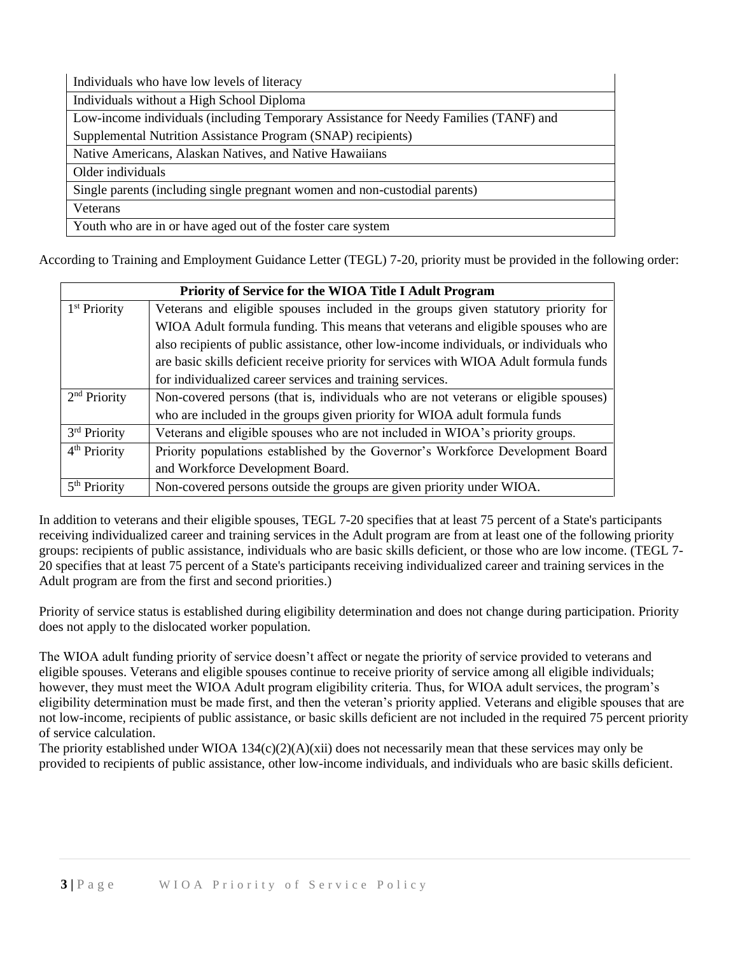| Individuals who have low levels of literacy                                          |  |  |
|--------------------------------------------------------------------------------------|--|--|
| Individuals without a High School Diploma                                            |  |  |
| Low-income individuals (including Temporary Assistance for Needy Families (TANF) and |  |  |
| Supplemental Nutrition Assistance Program (SNAP) recipients)                         |  |  |
| Native Americans, Alaskan Natives, and Native Hawaiians                              |  |  |
| Older individuals                                                                    |  |  |
| Single parents (including single pregnant women and non-custodial parents)           |  |  |
| Veterans                                                                             |  |  |
| Youth who are in or have aged out of the foster care system                          |  |  |

According to Training and Employment Guidance Letter (TEGL) 7-20, priority must be provided in the following order:

| Priority of Service for the WIOA Title I Adult Program |                                                                                        |
|--------------------------------------------------------|----------------------------------------------------------------------------------------|
| $1st$ Priority                                         | Veterans and eligible spouses included in the groups given statutory priority for      |
|                                                        | WIOA Adult formula funding. This means that veterans and eligible spouses who are      |
|                                                        | also recipients of public assistance, other low-income individuals, or individuals who |
|                                                        | are basic skills deficient receive priority for services with WIOA Adult formula funds |
|                                                        | for individualized career services and training services.                              |
| $2nd$ Priority                                         | Non-covered persons (that is, individuals who are not veterans or eligible spouses)    |
|                                                        | who are included in the groups given priority for WIOA adult formula funds             |
| 3rd Priority                                           | Veterans and eligible spouses who are not included in WIOA's priority groups.          |
| 4 <sup>th</sup> Priority                               | Priority populations established by the Governor's Workforce Development Board         |
|                                                        | and Workforce Development Board.                                                       |
| 5 <sup>th</sup> Priority                               | Non-covered persons outside the groups are given priority under WIOA.                  |

In addition to veterans and their eligible spouses, TEGL 7-20 specifies that at least 75 percent of a State's participants receiving individualized career and training services in the Adult program are from at least one of the following priority groups: recipients of public assistance, individuals who are basic skills deficient, or those who are low income. (TEGL 7- 20 specifies that at least 75 percent of a State's participants receiving individualized career and training services in the Adult program are from the first and second priorities.)

Priority of service status is established during eligibility determination and does not change during participation. Priority does not apply to the dislocated worker population.

The WIOA adult funding priority of service doesn't affect or negate the priority of service provided to veterans and eligible spouses. Veterans and eligible spouses continue to receive priority of service among all eligible individuals; however, they must meet the WIOA Adult program eligibility criteria. Thus, for WIOA adult services, the program's eligibility determination must be made first, and then the veteran's priority applied. Veterans and eligible spouses that are not low-income, recipients of public assistance, or basic skills deficient are not included in the required 75 percent priority of service calculation.

The priority established under WIOA 134(c)(2)(A)(xii) does not necessarily mean that these services may only be provided to recipients of public assistance, other low-income individuals, and individuals who are basic skills deficient.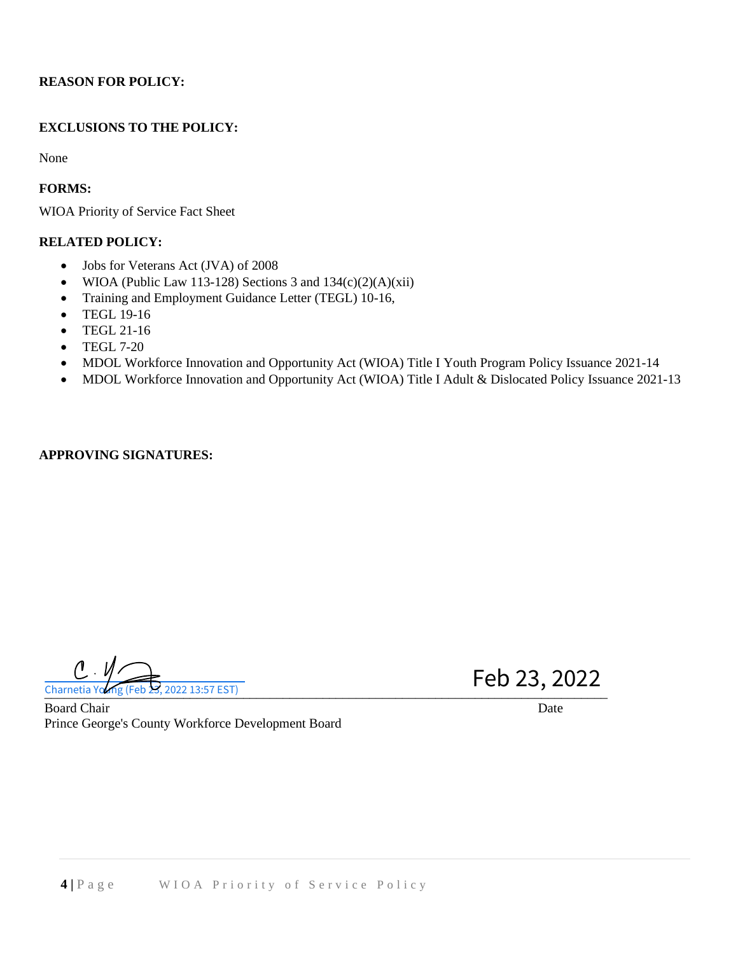# **REASON FOR POLICY:**

# **EXCLUSIONS TO THE POLICY:**

None

**FORMS:**

WIOA Priority of Service Fact Sheet

# **RELATED POLICY:**

- Jobs for Veterans Act (JVA) of 2008
- WIOA (Public Law 113-128) Sections 3 and  $134(c)(2)(A)(xii)$
- Training and Employment Guidance Letter (TEGL) 10-16,
- TEGL 19-16
- TEGL 21-16
- TEGL 7-20
- MDOL Workforce Innovation and Opportunity Act (WIOA) Title I Youth Program Policy Issuance 2021-14
- MDOL Workforce Innovation and Opportunity Act (WIOA) Title I Adult & Dislocated Policy Issuance 2021-13

### **APPROVING SIGNATURES:**

 $\theta_{\cdot}$ Charnetia Young (Feb 23, 2022 13:57 EST)  $\frac{1}{2}$ Charnetia Yo $\frac{2}{3}$  (Feb 23, 2022 13:57 EST)

Feb 23, 2022

Board Chair **Date** Prince George's County Workforce Development Board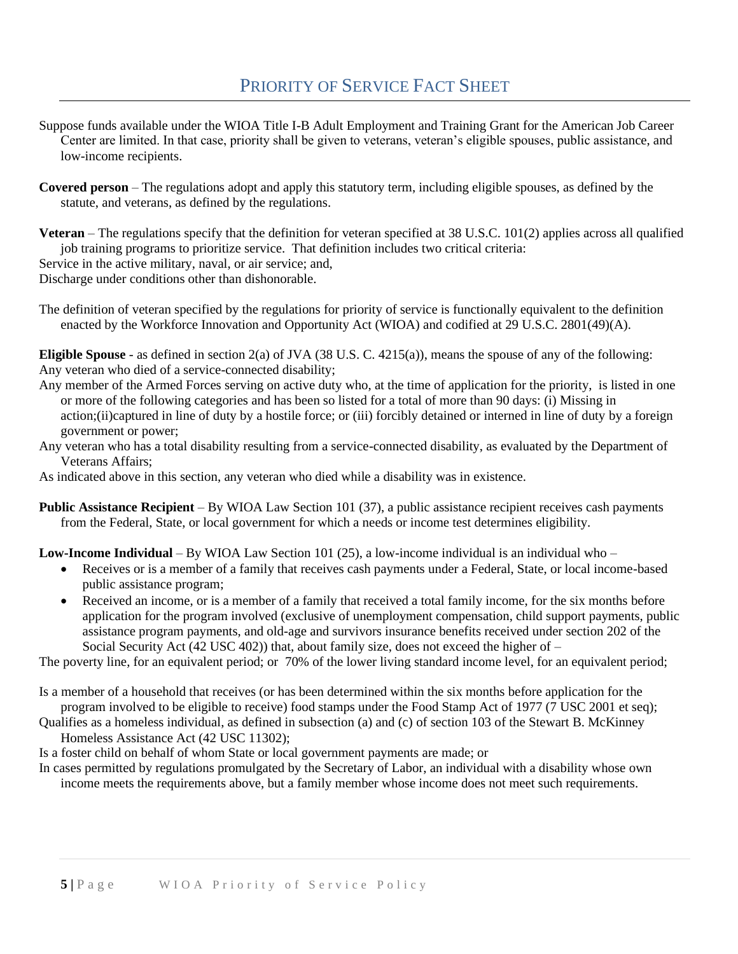- Suppose funds available under the WIOA Title I-B Adult Employment and Training Grant for the American Job Career Center are limited. In that case, priority shall be given to veterans, veteran's eligible spouses, public assistance, and low-income recipients.
- **Covered person** The regulations adopt and apply this statutory term, including eligible spouses, as defined by the statute, and veterans, as defined by the regulations.
- **Veteran** The regulations specify that the definition for veteran specified at 38 U.S.C. 101(2) applies across all qualified job training programs to prioritize service. That definition includes two critical criteria:

Service in the active military, naval, or air service; and,

Discharge under conditions other than dishonorable.

The definition of veteran specified by the regulations for priority of service is functionally equivalent to the definition enacted by the Workforce Innovation and Opportunity Act (WIOA) and codified at 29 U.S.C. 2801(49)(A).

**Eligible Spouse** - as defined in section 2(a) of JVA (38 U.S. C. 4215(a)), means the spouse of any of the following: Any veteran who died of a service-connected disability;

- Any member of the Armed Forces serving on active duty who, at the time of application for the priority, is listed in one or more of the following categories and has been so listed for a total of more than 90 days: (i) Missing in action;(ii)captured in line of duty by a hostile force; or (iii) forcibly detained or interned in line of duty by a foreign government or power;
- Any veteran who has a total disability resulting from a service-connected disability, as evaluated by the Department of Veterans Affairs;
- As indicated above in this section, any veteran who died while a disability was in existence.
- **Public Assistance Recipient** By WIOA Law Section 101 (37), a public assistance recipient receives cash payments from the Federal, State, or local government for which a needs or income test determines eligibility.

**Low-Income Individual** – By WIOA Law Section 101 (25), a low-income individual is an individual who –

- Receives or is a member of a family that receives cash payments under a Federal, State, or local income-based public assistance program;
- Received an income, or is a member of a family that received a total family income, for the six months before application for the program involved (exclusive of unemployment compensation, child support payments, public assistance program payments, and old-age and survivors insurance benefits received under section 202 of the Social Security Act (42 USC 402)) that, about family size, does not exceed the higher of  $-$

The poverty line, for an equivalent period; or 70% of the lower living standard income level, for an equivalent period;

Is a member of a household that receives (or has been determined within the six months before application for the program involved to be eligible to receive) food stamps under the Food Stamp Act of 1977 (7 USC 2001 et seq);

Qualifies as a homeless individual, as defined in subsection (a) and (c) of section 103 of the Stewart B. McKinney Homeless Assistance Act (42 USC 11302);

Is a foster child on behalf of whom State or local government payments are made; or

In cases permitted by regulations promulgated by the Secretary of Labor, an individual with a disability whose own income meets the requirements above, but a family member whose income does not meet such requirements.